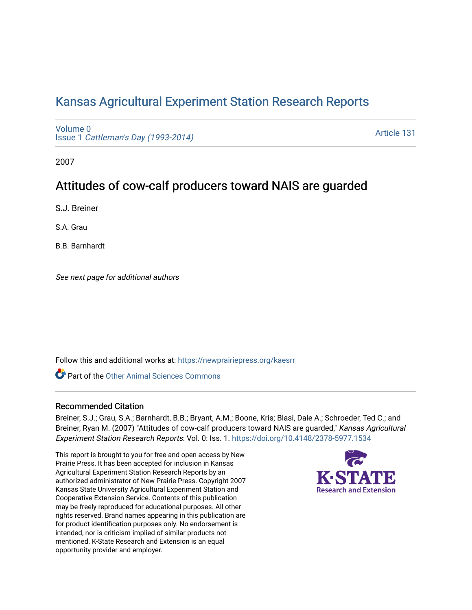# [Kansas Agricultural Experiment Station Research Reports](https://newprairiepress.org/kaesrr)

[Volume 0](https://newprairiepress.org/kaesrr/vol0) Issue 1 [Cattleman's Day \(1993-2014\)](https://newprairiepress.org/kaesrr/vol0/iss1) 

[Article 131](https://newprairiepress.org/kaesrr/vol0/iss1/131) 

2007

## Attitudes of cow-calf producers toward NAIS are guarded

S.J. Breiner

S.A. Grau

B.B. Barnhardt

See next page for additional authors

Follow this and additional works at: [https://newprairiepress.org/kaesrr](https://newprairiepress.org/kaesrr?utm_source=newprairiepress.org%2Fkaesrr%2Fvol0%2Fiss1%2F131&utm_medium=PDF&utm_campaign=PDFCoverPages) 

**C** Part of the [Other Animal Sciences Commons](http://network.bepress.com/hgg/discipline/82?utm_source=newprairiepress.org%2Fkaesrr%2Fvol0%2Fiss1%2F131&utm_medium=PDF&utm_campaign=PDFCoverPages)

### Recommended Citation

Breiner, S.J.; Grau, S.A.; Barnhardt, B.B.; Bryant, A.M.; Boone, Kris; Blasi, Dale A.; Schroeder, Ted C.; and Breiner, Ryan M. (2007) "Attitudes of cow-calf producers toward NAIS are guarded," Kansas Agricultural Experiment Station Research Reports: Vol. 0: Iss. 1. <https://doi.org/10.4148/2378-5977.1534>

This report is brought to you for free and open access by New Prairie Press. It has been accepted for inclusion in Kansas Agricultural Experiment Station Research Reports by an authorized administrator of New Prairie Press. Copyright 2007 Kansas State University Agricultural Experiment Station and Cooperative Extension Service. Contents of this publication may be freely reproduced for educational purposes. All other rights reserved. Brand names appearing in this publication are for product identification purposes only. No endorsement is intended, nor is criticism implied of similar products not mentioned. K-State Research and Extension is an equal opportunity provider and employer.

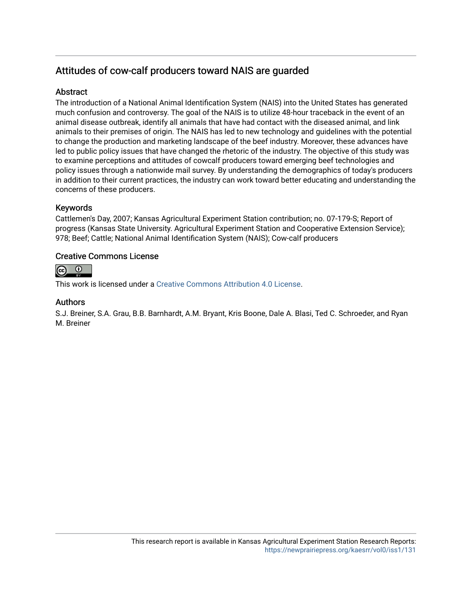## Attitudes of cow-calf producers toward NAIS are guarded

## **Abstract**

The introduction of a National Animal Identification System (NAIS) into the United States has generated much confusion and controversy. The goal of the NAIS is to utilize 48-hour traceback in the event of an animal disease outbreak, identify all animals that have had contact with the diseased animal, and link animals to their premises of origin. The NAIS has led to new technology and guidelines with the potential to change the production and marketing landscape of the beef industry. Moreover, these advances have led to public policy issues that have changed the rhetoric of the industry. The objective of this study was to examine perceptions and attitudes of cowcalf producers toward emerging beef technologies and policy issues through a nationwide mail survey. By understanding the demographics of today's producers in addition to their current practices, the industry can work toward better educating and understanding the concerns of these producers.

## Keywords

Cattlemen's Day, 2007; Kansas Agricultural Experiment Station contribution; no. 07-179-S; Report of progress (Kansas State University. Agricultural Experiment Station and Cooperative Extension Service); 978; Beef; Cattle; National Animal Identification System (NAIS); Cow-calf producers

## Creative Commons License



This work is licensed under a [Creative Commons Attribution 4.0 License](https://creativecommons.org/licenses/by/4.0/).

## Authors

S.J. Breiner, S.A. Grau, B.B. Barnhardt, A.M. Bryant, Kris Boone, Dale A. Blasi, Ted C. Schroeder, and Ryan M. Breiner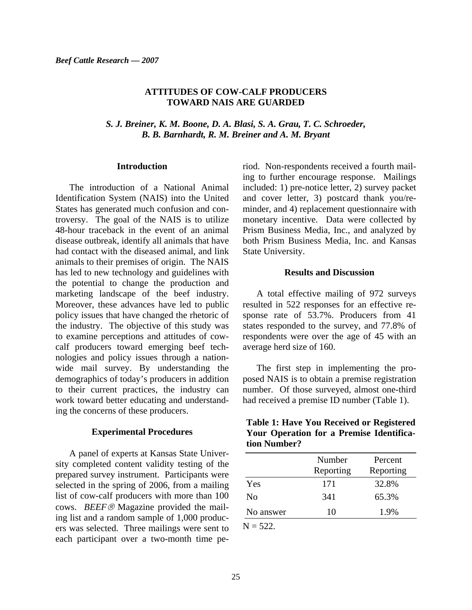### **ATTITUDES OF COW-CALF PRODUCERS TOWARD NAIS ARE GUARDED**

*S. J. Breiner, K. M. Boone, D. A. Blasi, S. A. Grau, T. C. Schroeder, B. B. Barnhardt, R. M. Breiner and A. M. Bryant* 

#### **Introduction**

The introduction of a National Animal Identification System (NAIS) into the United States has generated much confusion and controversy. The goal of the NAIS is to utilize 48-hour traceback in the event of an animal disease outbreak, identify all animals that have had contact with the diseased animal, and link animals to their premises of origin. The NAIS has led to new technology and guidelines with the potential to change the production and marketing landscape of the beef industry. Moreover, these advances have led to public policy issues that have changed the rhetoric of the industry. The objective of this study was to examine perceptions and attitudes of cowcalf producers toward emerging beef technologies and policy issues through a nationwide mail survey. By understanding the demographics of today's producers in addition to their current practices, the industry can work toward better educating and understanding the concerns of these producers.

#### **Experimental Procedures**

A panel of experts at Kansas State University completed content validity testing of the prepared survey instrument. Participants were selected in the spring of 2006, from a mailing list of cow-calf producers with more than 100 cows. *BEEF*® Magazine provided the mailing list and a random sample of 1,000 producers was selected. Three mailings were sent to each participant over a two-month time period. Non-respondents received a fourth mailing to further encourage response. Mailings included: 1) pre-notice letter, 2) survey packet and cover letter, 3) postcard thank you/reminder, and 4) replacement questionnaire with monetary incentive. Data were collected by Prism Business Media, Inc., and analyzed by both Prism Business Media, Inc. and Kansas State University.

#### **Results and Discussion**

A total effective mailing of 972 surveys resulted in 522 responses for an effective response rate of 53.7%. Producers from 41 states responded to the survey, and 77.8% of respondents were over the age of 45 with an average herd size of 160.

The first step in implementing the proposed NAIS is to obtain a premise registration number. Of those surveyed, almost one-third had received a premise ID number (Table 1).

| <b>Table 1: Have You Received or Registered</b> |  |
|-------------------------------------------------|--|
| Your Operation for a Premise Identifica-        |  |
| tion Number?                                    |  |

|                | Number<br>Reporting | Percent<br>Reporting |
|----------------|---------------------|----------------------|
| Yes            | 171                 | 32.8%                |
| N <sub>0</sub> | 341                 | 65.3%                |
| No answer      | 10                  | 1.9%                 |
|                |                     |                      |

 $N = 522$ .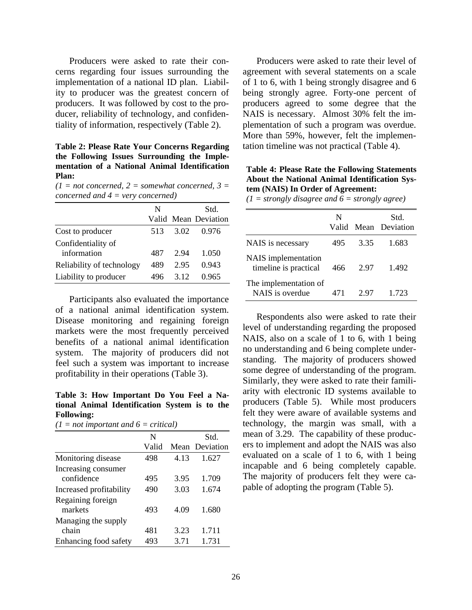Producers were asked to rate their concerns regarding four issues surrounding the implementation of a national ID plan. Liability to producer was the greatest concern of producers. It was followed by cost to the producer, reliability of technology, and confidentiality of information, respectively (Table 2).

**Table 2: Please Rate Your Concerns Regarding the Following Issues Surrounding the Implementation of a National Animal Identification Plan:** 

 $(1 = not concerned, 2 = somewhat concerned, 3 =$ *concerned and 4 = very concerned)* 

|                           | N   |      | Std.                 |
|---------------------------|-----|------|----------------------|
|                           |     |      | Valid Mean Deviation |
| Cost to producer          | 513 | 3.02 | 0.976                |
| Confidentiality of        |     |      |                      |
| information               | 487 | 2.94 | 1.050                |
| Reliability of technology | 489 | 2.95 | 0.943                |
| Liability to producer     | 496 | 3.12 | 0.965                |

Participants also evaluated the importance of a national animal identification system. Disease monitoring and regaining foreign markets were the most frequently perceived benefits of a national animal identification system. The majority of producers did not feel such a system was important to increase profitability in their operations (Table 3).

**Table 3: How Important Do You Feel a National Animal Identification System is to the Following:** 

| $(1 = not important and 6 = critical)$ |  |
|----------------------------------------|--|
|----------------------------------------|--|

|                         | N     |      | Std.           |
|-------------------------|-------|------|----------------|
|                         | Valid |      | Mean Deviation |
| Monitoring disease      | 498   | 4.13 | 1.627          |
| Increasing consumer     |       |      |                |
| confidence              | 495   | 3.95 | 1.709          |
| Increased profitability | 490   | 3.03 | 1.674          |
| Regaining foreign       |       |      |                |
| markets                 | 493   | 4.09 | 1.680          |
| Managing the supply     |       |      |                |
| chain                   | 481   | 3.23 | 1.711          |
| Enhancing food safety   | 493   | 3.71 | 1.731          |

Producers were asked to rate their level of agreement with several statements on a scale of 1 to 6, with 1 being strongly disagree and 6 being strongly agree. Forty-one percent of producers agreed to some degree that the NAIS is necessary. Almost 30% felt the implementation of such a program was overdue. More than 59%, however, felt the implementation timeline was not practical (Table 4).

### **Table 4: Please Rate the Following Statements About the National Animal Identification System (NAIS) In Order of Agreement:**

*(1 = strongly disagree and 6 = strongly agree)* 

|                                              | N   |      | Std.<br>Valid Mean Deviation |
|----------------------------------------------|-----|------|------------------------------|
| NAIS is necessary                            | 495 | 3.35 | 1.683                        |
| NAIS implementation<br>timeline is practical | 466 | 2.97 | 1.492                        |
| The implementation of<br>NAIS is overdue     | 471 | 2.97 | 1 723                        |

Respondents also were asked to rate their level of understanding regarding the proposed NAIS, also on a scale of 1 to 6, with 1 being no understanding and 6 being complete understanding. The majority of producers showed some degree of understanding of the program. Similarly, they were asked to rate their familiarity with electronic ID systems available to producers (Table 5). While most producers felt they were aware of available systems and technology, the margin was small, with a mean of 3.29. The capability of these producers to implement and adopt the NAIS was also evaluated on a scale of 1 to 6, with 1 being incapable and 6 being completely capable. The majority of producers felt they were capable of adopting the program (Table 5).